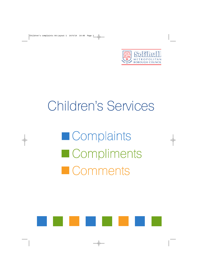

# Children's Services

**Complaints Compliments Comments** 

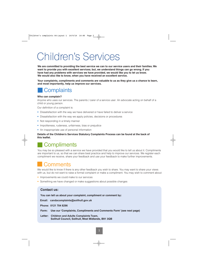## Children's Services

**We are committed to providing the best service we can to our service users and their families. We want to provide you with excellent services; but, we understand things can go wrong. If you have had any problems with services we have provided, we would like you to let us know. We would also like to know, when you have received an excellent service.**

**Your complaints, compliments and comments are valuable to us as they give us a chance to learn, and most importantly, help us improve our services.**

## **Complaints**

#### **Who can complain?**

Anyone who uses our services. The parents / carer of a service user. An advocate acting on behalf of a child or young person.

Our definition of a complaint is:

- Dissatisfaction with the way we have delivered or have failed to deliver a service
- Dissatisfaction with the way we apply policies, decisions or procedures
- Not responding in a timely manner
- Impoliteness, rudeness, unfairness, bias or prejudice
- An inappropriate use of personal information

#### **Details of the Children's Services Statutory Complaints Process can be found at the back of this leaflet.**

## **Compliments**

You may be so pleased with a service we have provided that you would like to tell us about it. Compliments are important to us, so that we can share best practice and help to improve our services. We register each compliment we receive, share your feedback and use your feedback to make further improvements.

## **Comments**

We would like to know if there is any other feedback you wish to share. You may want to share your views with us, but do not want to raise a formal complaint or make a compliment. You may wish to comment about:

- Improvements we could make to our services
- Something we have changed or make suggestions about possible changes

#### **Contact us:**

**You can tell us about your complaint, compliment or comment by:**

**Email: candacomplaints@solihull.gov.uk**

**Phone: 0121 704 8296**

**Form: Use our 'Complaints, Compliments and Comments Form' (see next page)**

**Letter: Children and Adults Complaints Team, Solihull Council, Solihull, West Midlands, B91 3QB**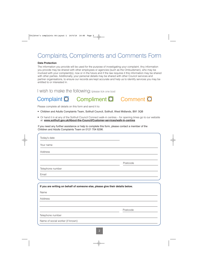## Complaints, Compliments and Comments Form

#### **Data Protection**

The information you provide will be used for the purpose of investigating your complaint. Any information you provide may be shared with other employees or agencies (such as the Ombudsman), who may be involved with your complaint(s), now or in the future and if the law requires it this information may be shared with other parties. Additionally, your personal details may be shared with other Council services and partner organisations, to ensure our records are kept accurate and help us to identify services you may be entitled to or interested in.

I wish to make the following: (please tick one box)

## Complaint O Compliment O Comment O

Please complete all details on this form and send it to:

- Children and Adults Complaints Team, Solihull Council, Solihull, West Midlands, B91 3QB
- Or hand it in at any of the Solihull Council Connect walk-in centres for opening times go to our website at: **www.solihull.gov.uk/About-the-Council/Customer-services/walk-in-centres**

If you need any further assistance or help to complete this form, please contact a member of the Children and Adults Complaints Team on 0121 704 8296.

| Today's date                                                                   |          |  |
|--------------------------------------------------------------------------------|----------|--|
| Your name                                                                      |          |  |
| Address                                                                        |          |  |
|                                                                                |          |  |
|                                                                                | Postcode |  |
| Telephone number                                                               |          |  |
| Email                                                                          |          |  |
|                                                                                |          |  |
| If you are writing on behalf of someone else, please give their details below. |          |  |
| Name                                                                           |          |  |
| Address                                                                        |          |  |
|                                                                                |          |  |
|                                                                                | Postcode |  |
| Telephone number                                                               |          |  |
| Name of social worker (if known)                                               |          |  |